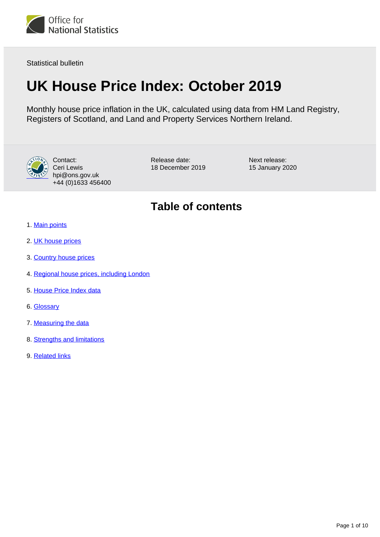

Statistical bulletin

# **UK House Price Index: October 2019**

Monthly house price inflation in the UK, calculated using data from HM Land Registry, Registers of Scotland, and Land and Property Services Northern Ireland.



Contact: Ceri Lewis hpi@ons.gov.uk +44 (0)1633 456400

Release date: 18 December 2019 Next release: 15 January 2020

## **Table of contents**

- 1. [Main points](#page-1-0)
- 2. [UK house prices](#page-1-1)
- 3. [Country house prices](#page-4-0)
- 4. [Regional house prices, including London](#page-5-0)
- 5. [House Price Index data](#page-7-0)
- 6. [Glossary](#page-7-1)
- 7. [Measuring the data](#page-7-2)
- 8. [Strengths and limitations](#page-8-0)
- 9. [Related links](#page-9-0)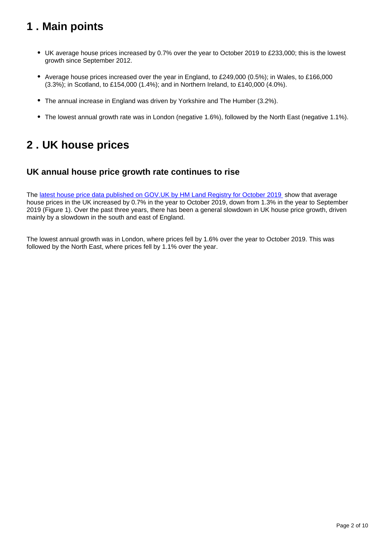## <span id="page-1-0"></span>**1 . Main points**

- UK average house prices increased by 0.7% over the year to October 2019 to £233,000; this is the lowest growth since September 2012.
- Average house prices increased over the year in England, to £249,000 (0.5%); in Wales, to £166,000 (3.3%); in Scotland, to £154,000 (1.4%); and in Northern Ireland, to £140,000 (4.0%).
- The annual increase in England was driven by Yorkshire and The Humber (3.2%).
- The lowest annual growth rate was in London (negative 1.6%), followed by the North East (negative 1.1%).

## <span id="page-1-1"></span>**2 . UK house prices**

### **UK annual house price growth rate continues to rise**

The [latest house price data published on GOV.UK by HM Land Registry for October 2019](https://www.gov.uk/government/statistics/uk-house-price-index-england-october-2019) show that average house prices in the UK increased by 0.7% in the year to October 2019, down from 1.3% in the year to September 2019 (Figure 1). Over the past three years, there has been a general slowdown in UK house price growth, driven mainly by a slowdown in the south and east of England.

The lowest annual growth was in London, where prices fell by 1.6% over the year to October 2019. This was followed by the North East, where prices fell by 1.1% over the year.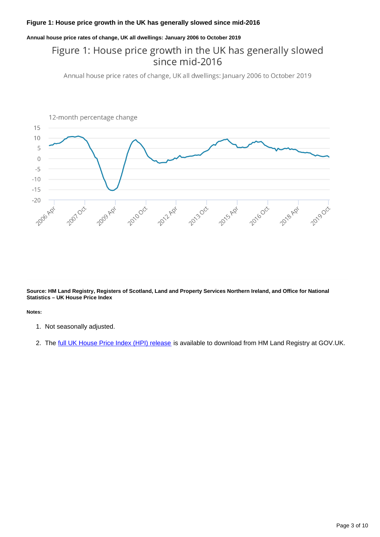### **Figure 1: House price growth in the UK has generally slowed since mid-2016**

#### **Annual house price rates of change, UK all dwellings: January 2006 to October 2019**

## Figure 1: House price growth in the UK has generally slowed since mid-2016

Annual house price rates of change, UK all dwellings: January 2006 to October 2019



**Source: HM Land Registry, Registers of Scotland, Land and Property Services Northern Ireland, and Office for National Statistics – UK House Price Index**

**Notes:**

- 1. Not seasonally adjusted.
- 2. The <u>[full UK House Price Index \(HPI\) release](https://www.gov.uk/government/collections/uk-house-price-index-reports)</u> is available to download from HM Land Registry at GOV.UK.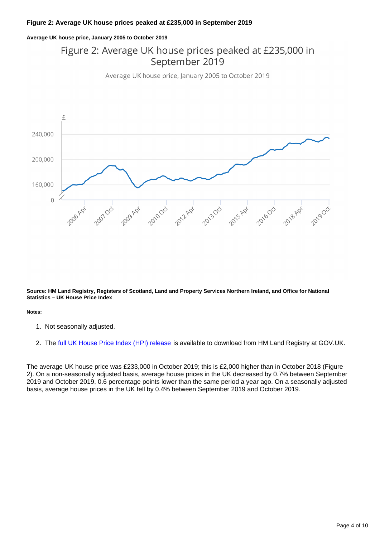### **Figure 2: Average UK house prices peaked at £235,000 in September 2019**

#### **Average UK house price, January 2005 to October 2019**

## Figure 2: Average UK house prices peaked at £235,000 in September 2019

Average UK house price, January 2005 to October 2019



**Source: HM Land Registry, Registers of Scotland, Land and Property Services Northern Ireland, and Office for National Statistics – UK House Price Index**

**Notes:**

- 1. Not seasonally adjusted.
- 2. The <u>[full UK House Price Index \(HPI\) release](https://www.gov.uk/government/collections/uk-house-price-index-reports)</u> is available to download from HM Land Registry at GOV.UK.

The average UK house price was £233,000 in October 2019; this is £2,000 higher than in October 2018 (Figure 2). On a non-seasonally adjusted basis, average house prices in the UK decreased by 0.7% between September 2019 and October 2019, 0.6 percentage points lower than the same period a year ago. On a seasonally adjusted basis, average house prices in the UK fell by 0.4% between September 2019 and October 2019.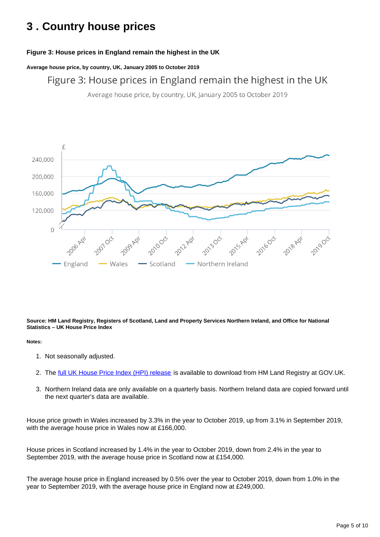## <span id="page-4-0"></span>**3 . Country house prices**

### **Figure 3: House prices in England remain the highest in the UK**

**Average house price, by country, UK, January 2005 to October 2019**

Figure 3: House prices in England remain the highest in the UK

Average house price, by country, UK, January 2005 to October 2019



**Source: HM Land Registry, Registers of Scotland, Land and Property Services Northern Ireland, and Office for National Statistics – UK House Price Index**

#### **Notes:**

- 1. Not seasonally adjusted.
- 2. The <u>[full UK House Price Index \(HPI\) release](https://www.gov.uk/government/collections/uk-house-price-index-reports)</u> is available to download from HM Land Registry at GOV.UK.
- 3. Northern Ireland data are only available on a quarterly basis. Northern Ireland data are copied forward until the next quarter's data are available.

House price growth in Wales increased by 3.3% in the year to October 2019, up from 3.1% in September 2019, with the average house price in Wales now at £166,000.

House prices in Scotland increased by 1.4% in the year to October 2019, down from 2.4% in the year to September 2019, with the average house price in Scotland now at £154,000.

The average house price in England increased by 0.5% over the year to October 2019, down from 1.0% in the year to September 2019, with the average house price in England now at £249,000.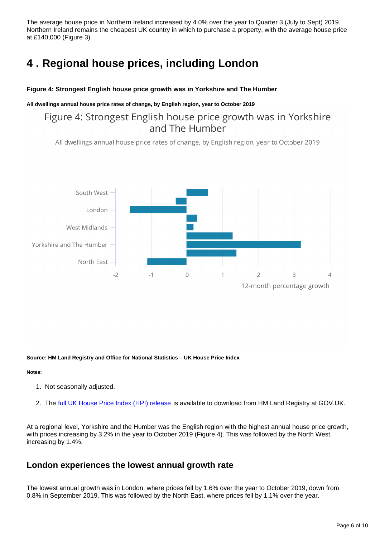The average house price in Northern Ireland increased by 4.0% over the year to Quarter 3 (July to Sept) 2019. Northern Ireland remains the cheapest UK country in which to purchase a property, with the average house price at £140,000 (Figure 3).

## <span id="page-5-0"></span>**4 . Regional house prices, including London**

### **Figure 4: Strongest English house price growth was in Yorkshire and The Humber**

### **All dwellings annual house price rates of change, by English region, year to October 2019**

## Figure 4: Strongest English house price growth was in Yorkshire and The Humber

All dwellings annual house price rates of change, by English region, year to October 2019



**Source: HM Land Registry and Office for National Statistics – UK House Price Index**

### **Notes:**

- 1. Not seasonally adjusted.
- 2. The <u>[full UK House Price Index \(HPI\) release](https://www.gov.uk/government/collections/uk-house-price-index-reports)</u> is available to download from HM Land Registry at GOV.UK.

At a regional level, Yorkshire and the Humber was the English region with the highest annual house price growth, with prices increasing by 3.2% in the year to October 2019 (Figure 4). This was followed by the North West, increasing by 1.4%.

### **London experiences the lowest annual growth rate**

The lowest annual growth was in London, where prices fell by 1.6% over the year to October 2019, down from 0.8% in September 2019. This was followed by the North East, where prices fell by 1.1% over the year.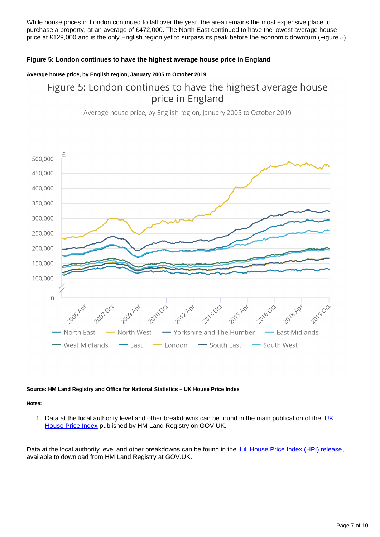While house prices in London continued to fall over the year, the area remains the most expensive place to purchase a property, at an average of £472,000. The North East continued to have the lowest average house price at £129,000 and is the only English region yet to surpass its peak before the economic downturn (Figure 5).

### **Figure 5: London continues to have the highest average house price in England**

### **Average house price, by English region, January 2005 to October 2019**

## Figure 5: London continues to have the highest average house price in England

Average house price, by English region, January 2005 to October 2019



#### **Source: HM Land Registry and Office for National Statistics – UK House Price Index**

#### **Notes:**

1. Data at the local authority level and other breakdowns can be found in the main publication of the UK [House Price Index](https://www.gov.uk/government/collections/uk-house-price-index-reports) published by HM Land Registry on GOV.UK.

Data at the local authority level and other breakdowns can be found in the [full House Price Index \(HPI\) release,](https://www.gov.uk/government/collections/uk-house-price-index-reports) available to download from HM Land Registry at GOV.UK.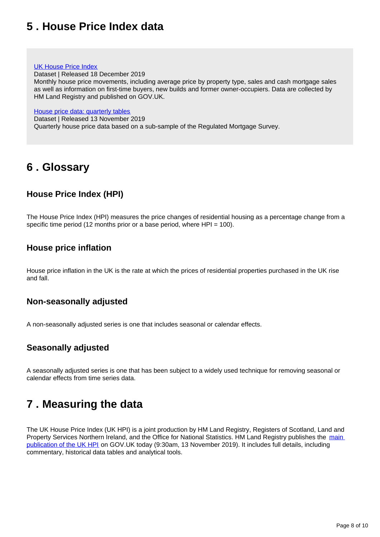## <span id="page-7-0"></span>**5 . House Price Index data**

### [UK House Price Index](https://www.gov.uk/government/statistical-data-sets/uk-house-price-index-data-downloads-october-2019)

Dataset | Released 18 December 2019

Monthly house price movements, including average price by property type, sales and cash mortgage sales as well as information on first-time buyers, new builds and former owner-occupiers. Data are collected by HM Land Registry and published on GOV.UK.

[House price data: quarterly tables](https://www.ons.gov.uk/economy/inflationandpriceindices/datasets/housepriceindexmonthlyquarterlytables1to19)

Dataset | Released 13 November 2019 Quarterly house price data based on a sub-sample of the Regulated Mortgage Survey.

## <span id="page-7-1"></span>**6 . Glossary**

## **House Price Index (HPI)**

The House Price Index (HPI) measures the price changes of residential housing as a percentage change from a specific time period (12 months prior or a base period, where HPI = 100).

### **House price inflation**

House price inflation in the UK is the rate at which the prices of residential properties purchased in the UK rise and fall.

### **Non-seasonally adjusted**

A non-seasonally adjusted series is one that includes seasonal or calendar effects.

### **Seasonally adjusted**

A seasonally adjusted series is one that has been subject to a widely used technique for removing seasonal or calendar effects from time series data.

## <span id="page-7-2"></span>**7 . Measuring the data**

The UK House Price Index (UK HPI) is a joint production by HM Land Registry, Registers of Scotland, Land and Property Services Northern Ireland, and the Office for National Statistics. HM Land Registry publishes the main [publication of the UK HPI](https://www.gov.uk/government/collections/uk-house-price-index-reports) on GOV.UK today (9:30am, 13 November 2019). It includes full details, including commentary, historical data tables and analytical tools.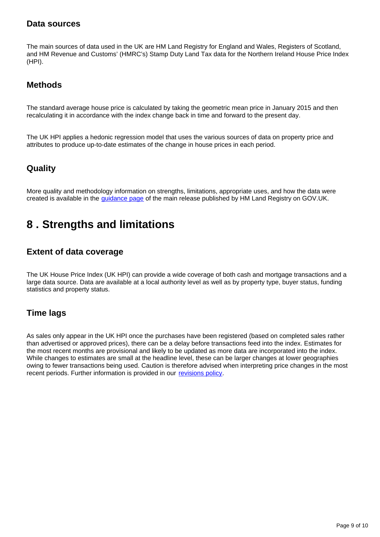### **Data sources**

The main sources of data used in the UK are HM Land Registry for England and Wales, Registers of Scotland, and HM Revenue and Customs' (HMRC's) Stamp Duty Land Tax data for the Northern Ireland House Price Index (HPI).

### **Methods**

The standard average house price is calculated by taking the geometric mean price in January 2015 and then recalculating it in accordance with the index change back in time and forward to the present day.

The UK HPI applies a hedonic regression model that uses the various sources of data on property price and attributes to produce up-to-date estimates of the change in house prices in each period.

### **Quality**

More quality and methodology information on strengths, limitations, appropriate uses, and how the data were created is available in the *[guidance page](https://www.gov.uk/government/publications/about-the-uk-house-price-index)* of the main release published by HM Land Registry on GOV.UK.

## <span id="page-8-0"></span>**8 . Strengths and limitations**

### **Extent of data coverage**

The UK House Price Index (UK HPI) can provide a wide coverage of both cash and mortgage transactions and a large data source. Data are available at a local authority level as well as by property type, buyer status, funding statistics and property status.

### **Time lags**

As sales only appear in the UK HPI once the purchases have been registered (based on completed sales rather than advertised or approved prices), there can be a delay before transactions feed into the index. Estimates for the most recent months are provisional and likely to be updated as more data are incorporated into the index. While changes to estimates are small at the headline level, these can be larger changes at lower geographies owing to fewer transactions being used. Caution is therefore advised when interpreting price changes in the most recent periods. Further information is provided in our [revisions policy](https://www.gov.uk/government/publications/about-the-uk-house-price-index/about-the-uk-house-price-index#calculating-the-uk-hpi).